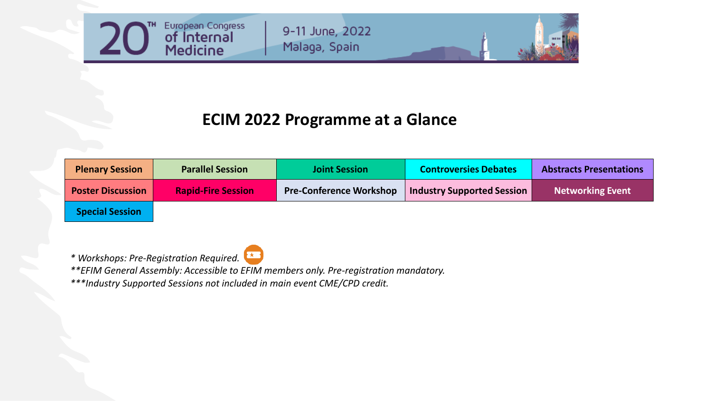

9-11 June, 2022 Malaga, Spain

## **ECIM 2022 Programme at a Glance**

| <b>Plenary Session</b>   | <b>Parallel Session</b>   | <b>Joint Session</b>           | <b>Controversies Debates</b>      | <b>Abstracts Presentations</b> |
|--------------------------|---------------------------|--------------------------------|-----------------------------------|--------------------------------|
| <b>Poster Discussion</b> | <b>Rapid-Fire Session</b> | <b>Pre-Conference Workshop</b> | <b>Industry Supported Session</b> | <b>Networking Event</b>        |
| <b>Special Session</b>   |                           |                                |                                   |                                |

*\* Workshops: Pre-Registration Required.*

*\*\*EFIM General Assembly: Accessible to EFIM members only. Pre-registration mandatory.*

*\*\*\*Industry Supported Sessions not included in main event CME/CPD credit.*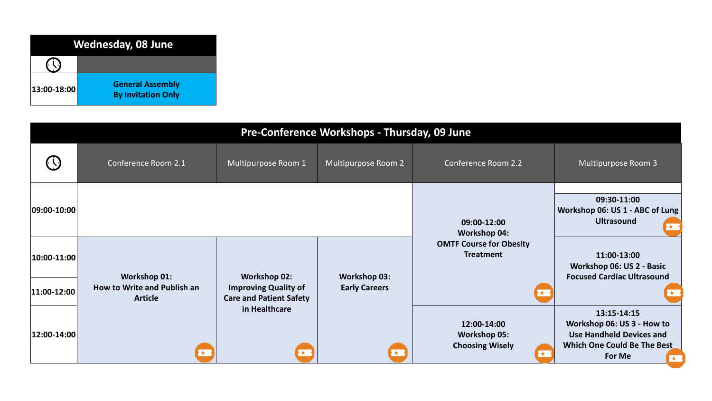

| Pre-Conference Workshops - Thursday, 09 June |                                                    |                                                    |                                             |                                                                          |                                                                                                                             |
|----------------------------------------------|----------------------------------------------------|----------------------------------------------------|---------------------------------------------|--------------------------------------------------------------------------|-----------------------------------------------------------------------------------------------------------------------------|
|                                              | Conference Room 2.1                                | Multipurpose Room 1                                | Multipurpose Room 2                         | Conference Room 2.2                                                      | Multipurpose Room 3                                                                                                         |
| $ 09:00 - 10:00 $                            |                                                    |                                                    |                                             | 09:00-12:00<br><b>Workshop 04:</b>                                       | 09:30-11:00<br>Workshop 06: US 1 - ABC of Lung<br><b>Ultrasound</b><br>$\mathbf{r}$                                         |
| $ 10:00 - 11:00 $                            | <b>Workshop 01:</b><br>How to Write and Publish an | <b>Workshop 02:</b><br><b>Improving Quality of</b> | <b>Workshop 03:</b><br><b>Early Careers</b> | <b>OMTF Course for Obesity</b><br><b>Treatment</b>                       | 11:00-13:00<br>Workshop 06: US 2 - Basic<br><b>Focused Cardiac Ultrasound</b>                                               |
| $ 11:00-12:00 $<br>$ 12:00-14:00 $           | <b>Article</b><br>$\star$                          | <b>Care and Patient Safety</b><br>in Healthcare    | <b>RE</b>                                   | 12:00-14:00<br><b>Workshop 05:</b><br><b>Choosing Wisely</b><br><b>X</b> | 13:15-14:15<br>Workshop 06: US 3 - How to<br><b>Use Handheld Devices and</b><br>Which One Could Be The Best<br>For Me<br>大家 |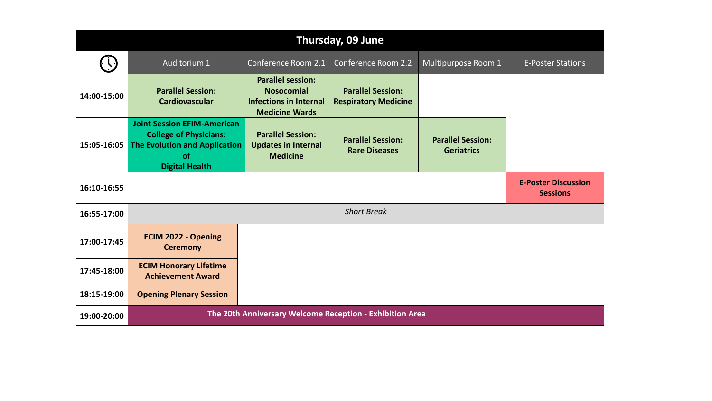| Thursday, 09 June |                                                                                                                                            |                                                                                                         |                                                         |                                               |                                               |
|-------------------|--------------------------------------------------------------------------------------------------------------------------------------------|---------------------------------------------------------------------------------------------------------|---------------------------------------------------------|-----------------------------------------------|-----------------------------------------------|
|                   | Auditorium 1                                                                                                                               | Conference Room 2.1                                                                                     | Conference Room 2.2                                     | Multipurpose Room 1                           | <b>E-Poster Stations</b>                      |
| 14:00-15:00       | <b>Parallel Session:</b><br><b>Cardiovascular</b>                                                                                          | <b>Parallel session:</b><br><b>Nosocomial</b><br><b>Infections in Internal</b><br><b>Medicine Wards</b> | <b>Parallel Session:</b><br><b>Respiratory Medicine</b> |                                               |                                               |
| 15:05-16:05       | <b>Joint Session EFIM-American</b><br><b>College of Physicians:</b><br><b>The Evolution and Application</b><br>of<br><b>Digital Health</b> | <b>Parallel Session:</b><br><b>Updates in Internal</b><br><b>Medicine</b>                               | <b>Parallel Session:</b><br><b>Rare Diseases</b>        | <b>Parallel Session:</b><br><b>Geriatrics</b> |                                               |
| 16:10-16:55       |                                                                                                                                            |                                                                                                         |                                                         |                                               | <b>E-Poster Discussion</b><br><b>Sessions</b> |
| 16:55-17:00       | <b>Short Break</b>                                                                                                                         |                                                                                                         |                                                         |                                               |                                               |
| 17:00-17:45       | <b>ECIM 2022 - Opening</b><br><b>Ceremony</b>                                                                                              |                                                                                                         |                                                         |                                               |                                               |
| 17:45-18:00       | <b>ECIM Honorary Lifetime</b><br><b>Achievement Award</b>                                                                                  |                                                                                                         |                                                         |                                               |                                               |
| 18:15-19:00       | <b>Opening Plenary Session</b>                                                                                                             |                                                                                                         |                                                         |                                               |                                               |
| 19:00-20:00       | The 20th Anniversary Welcome Reception - Exhibition Area                                                                                   |                                                                                                         |                                                         |                                               |                                               |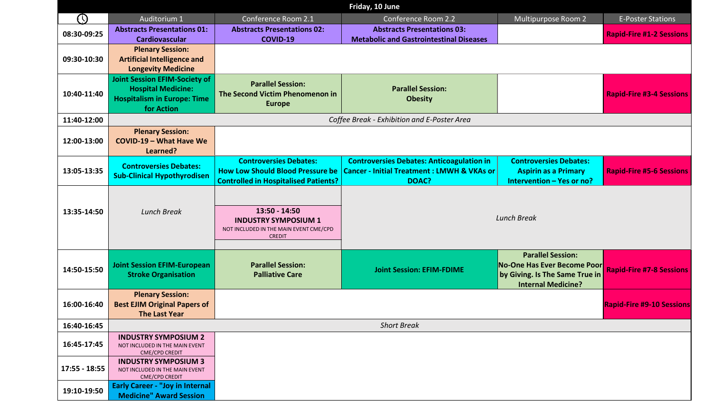|                 |                                                                                                                       |                                                                                                                         | Friday, 10 June                                                                                                    |                                                                                                                        |                                  |
|-----------------|-----------------------------------------------------------------------------------------------------------------------|-------------------------------------------------------------------------------------------------------------------------|--------------------------------------------------------------------------------------------------------------------|------------------------------------------------------------------------------------------------------------------------|----------------------------------|
| $\odot$         | Auditorium 1                                                                                                          | Conference Room 2.1                                                                                                     | <b>Conference Room 2.2</b>                                                                                         | Multipurpose Room 2                                                                                                    | <b>E-Poster Stations</b>         |
| 08:30-09:25     | <b>Abstracts Presentations 01:</b><br>Cardiovascular                                                                  | <b>Abstracts Presentations 02:</b><br><b>COVID-19</b>                                                                   | <b>Abstracts Presentations 03:</b><br><b>Metabolic and Gastrointestinal Diseases</b>                               |                                                                                                                        | <b>Rapid-Fire #1-2 Sessions</b>  |
| 09:30-10:30     | <b>Plenary Session:</b><br><b>Artificial Intelligence and</b><br><b>Longevity Medicine</b>                            |                                                                                                                         |                                                                                                                    |                                                                                                                        |                                  |
| 10:40-11:40     | <b>Joint Session EFIM-Society of</b><br><b>Hospital Medicine:</b><br><b>Hospitalism in Europe: Time</b><br>for Action | <b>Parallel Session:</b><br>The Second Victim Phenomenon in<br><b>Europe</b>                                            | <b>Parallel Session:</b><br><b>Obesity</b>                                                                         |                                                                                                                        | <b>Rapid-Fire #3-4 Sessions</b>  |
| 11:40-12:00     |                                                                                                                       |                                                                                                                         | Coffee Break - Exhibition and E-Poster Area                                                                        |                                                                                                                        |                                  |
| 12:00-13:00     | <b>Plenary Session:</b><br><b>COVID-19 - What Have We</b><br>Learned?                                                 |                                                                                                                         |                                                                                                                    |                                                                                                                        |                                  |
| 13:05-13:35     | <b>Controversies Debates:</b><br><b>Sub-Clinical Hypothyrodisen</b>                                                   | <b>Controversies Debates:</b><br><b>How Low Should Blood Pressure be</b><br><b>Controlled in Hospitalised Patients?</b> | <b>Controversies Debates: Anticoagulation in</b><br><b>Cancer - Initial Treatment: LMWH &amp; VKAs or</b><br>DOAC? | <b>Controversies Debates:</b><br><b>Aspirin as a Primary</b><br>Intervention - Yes or no?                              | <b>Rapid-Fire #5-6 Sessions</b>  |
| 13:35-14:50     | <b>Lunch Break</b>                                                                                                    | $13:50 - 14:50$<br><b>INDUSTRY SYMPOSIUM 1</b><br>NOT INCLUDED IN THE MAIN EVENT CME/CPD<br><b>CREDIT</b>               | <b>Lunch Break</b>                                                                                                 |                                                                                                                        |                                  |
| 14:50-15:50     | <b>Joint Session EFIM-European</b><br><b>Stroke Organisation</b>                                                      | <b>Parallel Session:</b><br><b>Palliative Care</b>                                                                      | <b>Joint Session: EFIM-FDIME</b>                                                                                   | <b>Parallel Session:</b><br>No-One Has Ever Become Poor<br>by Giving. Is The Same True in<br><b>Internal Medicine?</b> | <b>Rapid-Fire #7-8 Sessions</b>  |
| 16:00-16:40     | <b>Plenary Session:</b><br><b>Best EJIM Original Papers of</b><br><b>The Last Year</b>                                |                                                                                                                         |                                                                                                                    |                                                                                                                        | <b>Rapid-Fire #9-10 Sessions</b> |
| 16:40-16:45     |                                                                                                                       |                                                                                                                         | <b>Short Break</b>                                                                                                 |                                                                                                                        |                                  |
| 16:45-17:45     | <b>INDUSTRY SYMPOSIUM 2</b><br>NOT INCLUDED IN THE MAIN EVENT<br>CME/CPD CREDIT                                       |                                                                                                                         |                                                                                                                    |                                                                                                                        |                                  |
| $17:55 - 18:55$ | <b>INDUSTRY SYMPOSIUM 3</b><br>NOT INCLUDED IN THE MAIN EVENT<br>CME/CPD CREDIT                                       |                                                                                                                         |                                                                                                                    |                                                                                                                        |                                  |
| 19:10-19:50     | <b>Early Career - "Joy in Internal</b><br><b>Medicine" Award Session</b>                                              |                                                                                                                         |                                                                                                                    |                                                                                                                        |                                  |